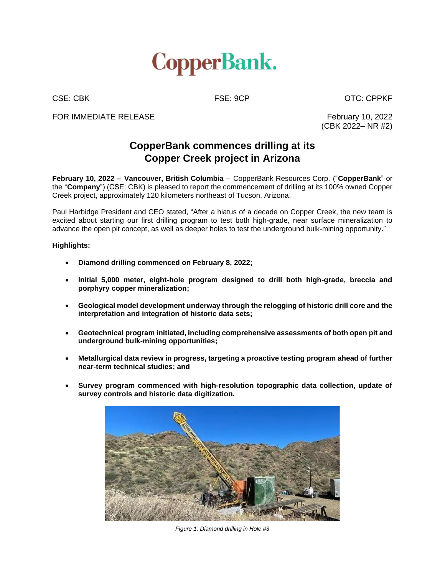

CSE: CBK FSE: 9CP CSE: CDPKF

FOR IMMEDIATE RELEASE FOR THE SECTION OF THE SECTION OF THE SECTION OF THE SECTION OF THE SECTION OF THE SECTION OF THE SECTION OF THE SECTION OF THE SECTION OF THE SECTION OF THE SECTION OF THE SECTION OF THE SECTION OF T

(CBK 2022– NR #2)

# **CopperBank commences drilling at its Copper Creek project in Arizona**

**February 10, 2022 – Vancouver, British Columbia** – CopperBank Resources Corp. ("**CopperBank**" or the "**Company**") (CSE: CBK) is pleased to report the commencement of drilling at its 100% owned Copper Creek project, approximately 120 kilometers northeast of Tucson, Arizona.

Paul Harbidge President and CEO stated, "After a hiatus of a decade on Copper Creek, the new team is excited about starting our first drilling program to test both high-grade, near surface mineralization to advance the open pit concept, as well as deeper holes to test the underground bulk-mining opportunity."

## **Highlights:**

- **Diamond drilling commenced on February 8, 2022;**
- **Initial 5,000 meter, eight-hole program designed to drill both high-grade, breccia and porphyry copper mineralization;**
- **Geological model development underway through the relogging of historic drill core and the interpretation and integration of historic data sets;**
- **Geotechnical program initiated, including comprehensive assessments of both open pit and underground bulk-mining opportunities;**
- **Metallurgical data review in progress, targeting a proactive testing program ahead of further near-term technical studies; and**
- **Survey program commenced with high-resolution topographic data collection, update of survey controls and historic data digitization.**



*Figure 1: Diamond drilling in Hole #3*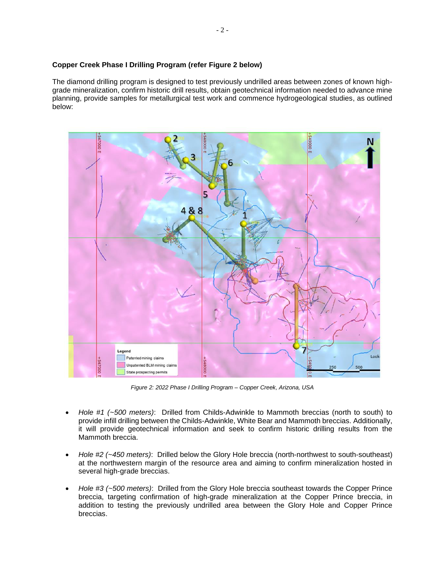## **Copper Creek Phase I Drilling Program (refer Figure 2 below)**

The diamond drilling program is designed to test previously undrilled areas between zones of known highgrade mineralization, confirm historic drill results, obtain geotechnical information needed to advance mine planning, provide samples for metallurgical test work and commence hydrogeological studies, as outlined below:



*Figure 2: 2022 Phase I Drilling Program – Copper Creek, Arizona, USA*

- *Hole #1 (~500 meters)*: Drilled from Childs-Adwinkle to Mammoth breccias (north to south) to provide infill drilling between the Childs-Adwinkle, White Bear and Mammoth breccias. Additionally, it will provide geotechnical information and seek to confirm historic drilling results from the Mammoth breccia.
- *Hole #2 (~450 meters)*: Drilled below the Glory Hole breccia (north-northwest to south-southeast) at the northwestern margin of the resource area and aiming to confirm mineralization hosted in several high-grade breccias.
- *Hole #3 (~500 meters)*: Drilled from the Glory Hole breccia southeast towards the Copper Prince breccia, targeting confirmation of high-grade mineralization at the Copper Prince breccia, in addition to testing the previously undrilled area between the Glory Hole and Copper Prince breccias.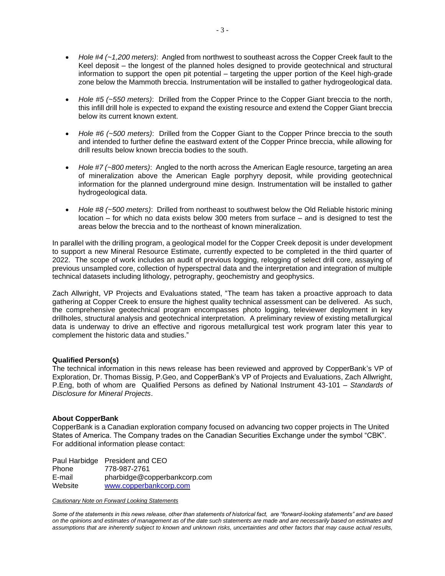- *Hole #4 (~1,200 meters)*: Angled from northwest to southeast across the Copper Creek fault to the Keel deposit – the longest of the planned holes designed to provide geotechnical and structural information to support the open pit potential – targeting the upper portion of the Keel high-grade zone below the Mammoth breccia. Instrumentation will be installed to gather hydrogeological data.
- *Hole #5 (~550 meters)*: Drilled from the Copper Prince to the Copper Giant breccia to the north, this infill drill hole is expected to expand the existing resource and extend the Copper Giant breccia below its current known extent.
- *Hole #6 (~500 meters)*: Drilled from the Copper Giant to the Copper Prince breccia to the south and intended to further define the eastward extent of the Copper Prince breccia, while allowing for drill results below known breccia bodies to the south.
- *Hole #7 (~800 meters)*: Angled to the north across the American Eagle resource, targeting an area of mineralization above the American Eagle porphyry deposit, while providing geotechnical information for the planned underground mine design. Instrumentation will be installed to gather hydrogeological data.
- *Hole #8 (~500 meters)*: Drilled from northeast to southwest below the Old Reliable historic mining location – for which no data exists below 300 meters from surface – and is designed to test the areas below the breccia and to the northeast of known mineralization.

In parallel with the drilling program, a geological model for the Copper Creek deposit is under development to support a new Mineral Resource Estimate, currently expected to be completed in the third quarter of 2022. The scope of work includes an audit of previous logging, relogging of select drill core, assaying of previous unsampled core, collection of hyperspectral data and the interpretation and integration of multiple technical datasets including lithology, petrography, geochemistry and geophysics.

Zach Allwright, VP Projects and Evaluations stated, "The team has taken a proactive approach to data gathering at Copper Creek to ensure the highest quality technical assessment can be delivered. As such, the comprehensive geotechnical program encompasses photo logging, televiewer deployment in key drillholes, structural analysis and geotechnical interpretation. A preliminary review of existing metallurgical data is underway to drive an effective and rigorous metallurgical test work program later this year to complement the historic data and studies."

### **Qualified Person(s)**

The technical information in this news release has been reviewed and approved by CopperBank's VP of Exploration, Dr. Thomas Bissig, P.Geo, and CopperBank's VP of Projects and Evaluations, Zach Allwright, P.Eng, both of whom are Qualified Persons as defined by National Instrument 43-101 – *Standards of Disclosure for Mineral Projects*.

## **About CopperBank**

CopperBank is a Canadian exploration company focused on advancing two copper projects in The United States of America. The Company trades on the Canadian Securities Exchange under the symbol "CBK". For additional information please contact:

|         | Paul Harbidge President and CEO |
|---------|---------------------------------|
| Phone   | 778-987-2761                    |
| E-mail  | pharbidge@copperbankcorp.com    |
| Website | www.copperbankcorp.com          |

#### *Cautionary Note on Forward Looking Statements*

*Some of the statements in this news release, other than statements of historical fact, are "forward-looking statements" and are based on the opinions and estimates of management as of the date such statements are made and are necessarily based on estimates and assumptions that are inherently subject to known and unknown risks, uncertainties and other factors that may cause actual results,*